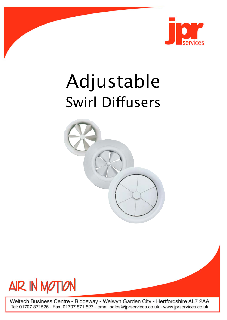

# Adjustable **Swirl Diffusers**





Weltech Business Centre - Ridgeway - Welwyn Garden City - Hertfordshire AL7 2AA<br>Tel: 01707 871526 - Fax: 01707 871 527 - email sales@jprservices.co.uk - www.jprservices.co.uk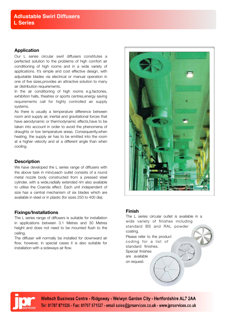## **Application**

Our L series circular swirl diffusers constitutes a perfected solution to the problems of high comfort air conditioning of high rooms and in a wide variety of applications. It's simple and cost effective design, with adjustable blades via electrical or manual operation in one of five sizes,provides an attractive solution to many air distribution requirements.

In the air conditioning of high rooms e.g.factories, exhibition halls, theatres or sports centres,energy saving requirements call for highly controlled air supply systems.

As there is usually a temperature difference between room and supply air, inertial and gravitational forces that have aerodynamic or thermodynamic effects,have to be taken into account in order to avoid the phenomena of draughts or low temperature areas. Consequently,when heating, the supply air has to be emitted into the room at a higher velocity and at a different angle than when cooling.

# **Description**

We have developed the L series range of diffusers with the above task in mind,each outlet consists of a round metal nozzle body constructed from a pressed steel cylinder, with a wide,radially extended rim also available to utilise the Coanda effect. Each unit independent of size has a central mechanism of six blades which are available in steel or in plastic (for sizes 250 to 400 dia).

# **Fixings/Installations**

The L series range of diffusers is suitable for installation in applications between 3.1 Metres and 30 Metres height and does not need to be mounted flush to the ceiling.

The diffuser will normally be installed for downward air flow, however, in special cases it is also suitable for installation with a sideways air flow.



# **Finish**

The L series circular outlet is available in a wide variety of finishes including standard BS and RAL powder coating. Please refer to the product coding for a list of standard finishes. Special finishes are available on request.



Weltech Business Centre - Ridgeway - Welwyn Garden City - Hertfordshire AL7 2AA Tel: 01707 871526 - Fax: 01707 871527 - email sales@jprservices.co.uk - www.jprservices.co.uk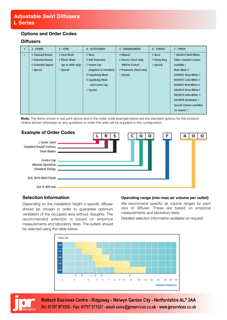# **Options and Order Codes**

## **Diffusers**

|    | 2 - FRAME                                                                            | $3 - CORE$                                                                     | <b>4 - ACCESSORIES</b>                                                                                                                                       | 5 - ARRANGEMENT                                                                               | 6 - FIXINGS                          | 7 - FINISH                                                                                                                                                                                                                                                                           |
|----|--------------------------------------------------------------------------------------|--------------------------------------------------------------------------------|--------------------------------------------------------------------------------------------------------------------------------------------------------------|-----------------------------------------------------------------------------------------------|--------------------------------------|--------------------------------------------------------------------------------------------------------------------------------------------------------------------------------------------------------------------------------------------------------------------------------------|
| ı. | <b>R</b> Standard Round<br><b>V Extended Round</b><br>Q Extended Square<br>1 Special | <b>S Steel Blade</b><br><b>Z Plastic Blade</b><br>(up to e400 only)<br>Special | 0 None<br><b>B</b> Ball Protection<br>C Centre Cap<br>(Supplied as Standard)<br><b>M Equalising Mesh</b><br>N Equalising Mesh<br>and Centre Cap<br>1 Special | 0 Manual<br>E Electric (Steel only)<br>NMV24 Control<br>P Pneumatic (Steel only)<br>1 Special | 0 None<br>F Fixing Ring<br>1 Special | F RAL9010 Matt White<br>Other standard colours<br>available ;<br>Matt Black B<br>BS00E55 Gloss White C<br><b>BS00E55 Satin White H</b><br>BS00E55 Matt White D<br>RAL9010 Gloss White E<br>RAL9010 Satin White G<br>RAL9006 Aluminium 3<br>Special Colours available<br>on request 1 |

**Note:** The items shown in red print above and in the order code example below are the standard options for this product. Unless shown otherwise on any quotation or order the units will be supplied in this configuration.



# **Selection Information**

Depending on the installation height a specific diffuser should be chosen in order to guarantee optimum ventilation of the occupied area without draughts. The recommended selection is based on empirical measurements and laboratory tests. The outlets should be selected using the table below.

#### **Operating range (min-max air volume per outlet)**

We recommend specific air volume ranges for each size of diffuser. These are based on empirical measurements and laboratory tests.

Detailed selection information available on request.





Weltech Business Centre - Ridgeway - Welwyn Garden City - Hertfordshire AL7 2AA Tel: 01707 871526 - Fax: 01707 871527 - email sales@jprservices.co.uk - www.jprservices.co.uk